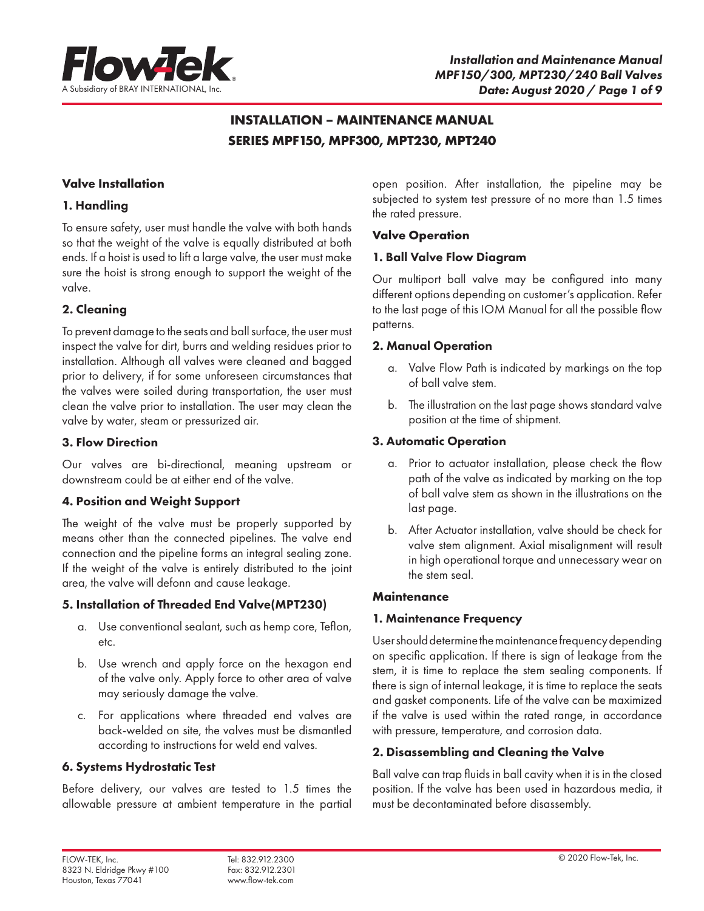

## **INSTALLATION – MAINTENANCE MANUAL SERIES MPF150, MPF300, MPT230, MPT240**

## **Valve Installation**

## 1. Handling

To ensure safety, user must handle the valve with both hands so that the weight of the valve is equally distributed at both ends. If a hoist is used to lift a large valve, the user must make sure the hoist is strong enough to support the weight of the valve.

## 2. Cleaning

To prevent damage to the seats and ball surface, the user must inspect the valve for dirt, burrs and welding residues prior to installation. Although all valves were cleaned and bagged prior to delivery, if for some unforeseen circumstances that the valves were soiled during transportation, the user must clean the valve prior to installation. The user may clean the valve by water, steam or pressurized air.

## 3. Flow Direction

Our valves are bi-directional, meaning upstream or downstream could be at either end of the valve.

## 4. Position and Weight Support

The weight of the valve must be properly supported by means other than the connected pipelines. The valve end connection and the pipeline forms an integral sealing zone. If the weight of the valve is entirely distributed to the joint area, the valve will defonn and cause leakage.

## 5. Installation of Threaded End Valve(MPT230)

- a. Use conventional sealant, such as hemp core, Teflon, etc.
- b. Use wrench and apply force on the hexagon end of the valve only. Apply force to other area of valve may seriously damage the valve.
- c. For applications where threaded end valves are back-welded on site, the valves must be dismantled according to instructions for weld end valves.

## 6. Systems Hydrostatic Test

Before delivery, our valves are tested to 1.5 times the allowable pressure at ambient temperature in the partial

open position. After installation, the pipeline may be subjected to system test pressure of no more than 1.5 times the rated pressure.

## **Valve Operation**

## 1. Ball Valve Flow Diagram

Our multiport ball valve may be configured into many different options depending on customer's application. Refer to the last page of this IOM Manual for all the possible flow patterns.

## 2. Manual Operation

- a. Valve Flow Path is indicated by markings on the top of ball valve stem.
- b. The illustration on the last page shows standard valve position at the time of shipment.

## 3. Automatic Operation

- a. Prior to actuator installation, please check the flow path of the valve as indicated by marking on the top of ball valve stem as shown in the illustrations on the last page.
- b. After Actuator installation, valve should be check for valve stem alignment. Axial misalignment will result in high operational torque and unnecessary wear on the stem seal.

## **Maintenance**

## 1. Maintenance Frequency

User should determine the maintenance frequency depending on specific application. If there is sign of leakage from the stem, it is time to replace the stem sealing components. If there is sign of internal leakage, it is time to replace the seats and gasket components. Life of the valve can be maximized if the valve is used within the rated range, in accordance with pressure, temperature, and corrosion data.

## 2. Disassembling and Cleaning the Valve

Ball valve can trap fluids in ball cavity when it is in the closed position. If the valve has been used in hazardous media, it must be decontaminated before disassembly.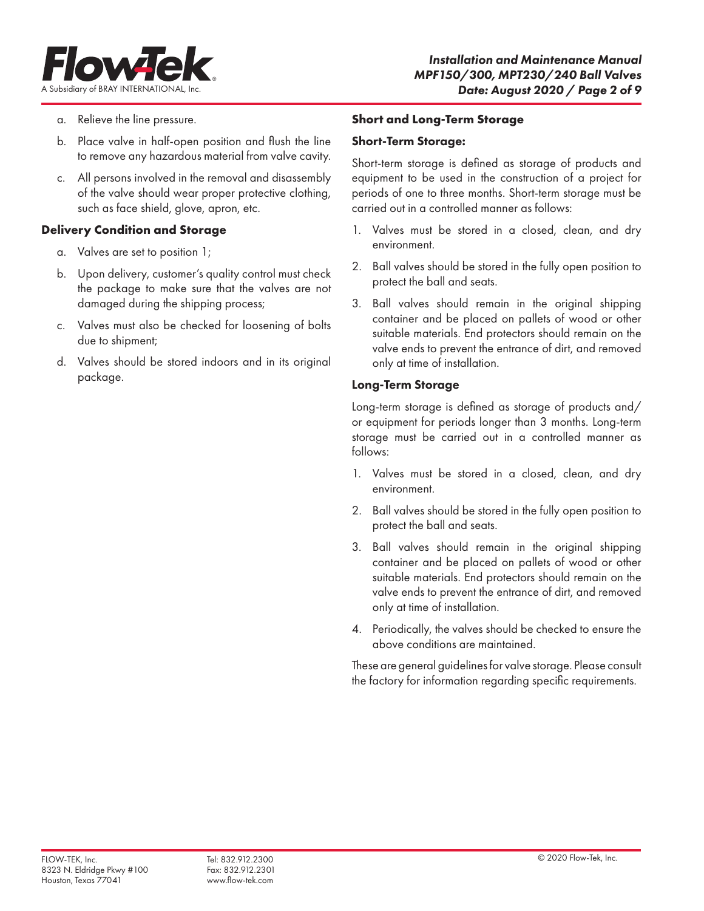

- a. Relieve the line pressure.
- b. Place valve in half-open position and flush the line to remove any hazardous material from valve cavity.
- c. All persons involved in the removal and disassembly of the valve should wear proper protective clothing, such as face shield, glove, apron, etc.

## **Delivery Condition and Storage**

- a. Valves are set to position 1;
- b. Upon delivery, customer's quality control must check the package to make sure that the valves are not damaged during the shipping process;
- c. Valves must also be checked for loosening of bolts due to shipment;
- d. Valves should be stored indoors and in its original package.

#### **Short and Long-Term Storage**

#### Short-Term Storage:

Short-term storage is defined as storage of products and equipment to be used in the construction of a project for periods of one to three months. Short-term storage must be carried out in a controlled manner as follows:

- 1. Valves must be stored in a closed, clean, and dry environment.
- 2. Ball valves should be stored in the fully open position to protect the ball and seats.
- 3. Ball valves should remain in the original shipping container and be placed on pallets of wood or other suitable materials. End protectors should remain on the valve ends to prevent the entrance of dirt, and removed only at time of installation.

## Long-Term Storage

Long-term storage is defined as storage of products and/ or equipment for periods longer than 3 months. Long-term storage must be carried out in a controlled manner as follows:

- 1. Valves must be stored in a closed, clean, and dry environment.
- 2. Ball valves should be stored in the fully open position to protect the ball and seats.
- 3. Ball valves should remain in the original shipping container and be placed on pallets of wood or other suitable materials. End protectors should remain on the valve ends to prevent the entrance of dirt, and removed only at time of installation.
- 4. Periodically, the valves should be checked to ensure the above conditions are maintained.

These are general guidelines for valve storage. Please consult the factory for information regarding specific requirements.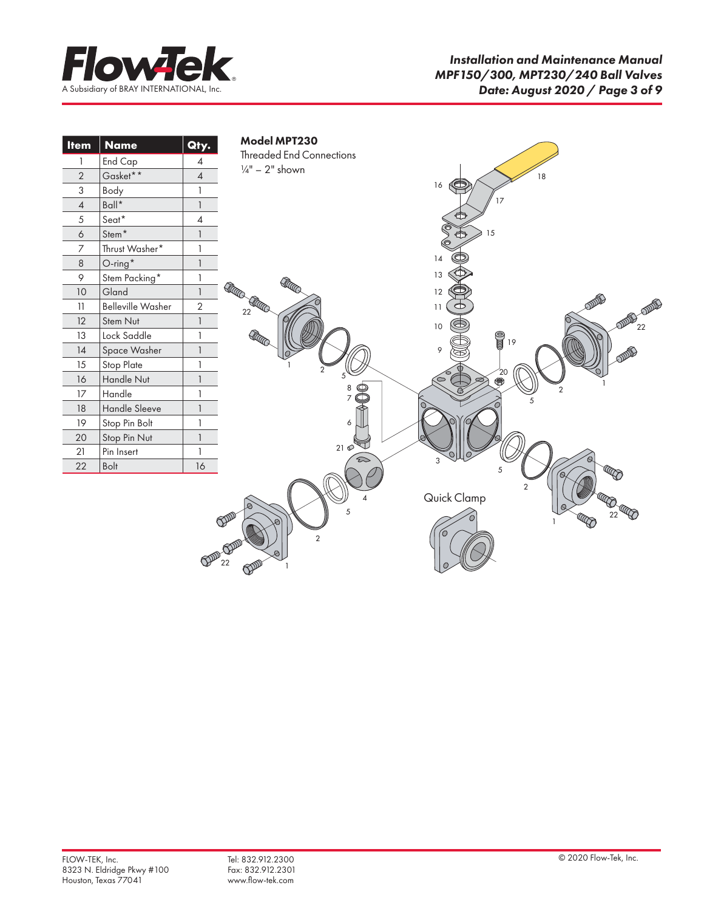

| <b>Item</b>      | <b>Name</b>              | Qty.           | Model MPT230                                                                                     |
|------------------|--------------------------|----------------|--------------------------------------------------------------------------------------------------|
| 1                | End Cap                  | $\overline{4}$ | <b>Threaded End Connections</b>                                                                  |
| $\overline{2}$   | Gasket**                 | $\overline{4}$ | $\frac{1}{4}$ " – 2" shown<br>18                                                                 |
| 3                | Body                     | $\mathbf{1}$   | G<br>16                                                                                          |
| $\sqrt{4}$       | $Ball^{\star}$           | $\mathbf{1}$   | 17                                                                                               |
| $\sqrt{5}$       | Seat*                    | 4              | €                                                                                                |
| $\acute{\rm{o}}$ | ${\sf Stem}^{\,\star}$   | $\mathbf{1}$   | 15<br>虛                                                                                          |
| 7                | Thrust Washer*           | $\mathbf{1}$   |                                                                                                  |
| $\,8\,$          | $O$ -ring <sup>*</sup>   | $\mathbf{1}$   | 14                                                                                               |
| 9                | Stem Packing*            | 1              | 13<br>REATO                                                                                      |
| 10               | Gland                    | $\mathbf{1}$   | RECO<br>12                                                                                       |
| 11               | <b>Belleville Washer</b> | $\sqrt{2}$     | ODDF<br>RACO<br><b>DE COUPE</b><br>11<br>$22\,$                                                  |
| 12               | Stem Nut                 | $\mathbf{1}$   | ,<br>22<br>10                                                                                    |
| 13               | Lock Saddle              | $\mathbf{1}$   | Kan<br>$\frac{1}{2}$ 19                                                                          |
| 14               | Space Washer             | $\mathbf{1}$   | 9                                                                                                |
| 15               | Stop Plate               | $\mathbf{1}$   | 2                                                                                                |
| 16               | Handle Nut               | $\mathbf{1}$   | $\overset{20}{\bullet}$                                                                          |
| 17               | Handle                   | $\mathbf{1}$   | $\overline{2}$<br>5                                                                              |
| $18\,$           | Handle Sleeve            | $\mathbf{1}$   |                                                                                                  |
| 19               | Stop Pin Bolt            | $\mathbf{1}$   | 6                                                                                                |
| 20               | Stop Pin Nut             | $\mathbf{1}$   |                                                                                                  |
| 21               | Pin Insert               | $\mathbf{1}$   | 210<br>3<br>బ                                                                                    |
| 22               | Bolt                     | 16             | 5<br>$\epsilon$                                                                                  |
|                  |                          |                | 2<br>Quick Clamp<br>22<br>5<br>COOP<br>10<br>$\overline{2}$<br>$\frac{10}{22}$<br>$\mathbb{Q}^p$ |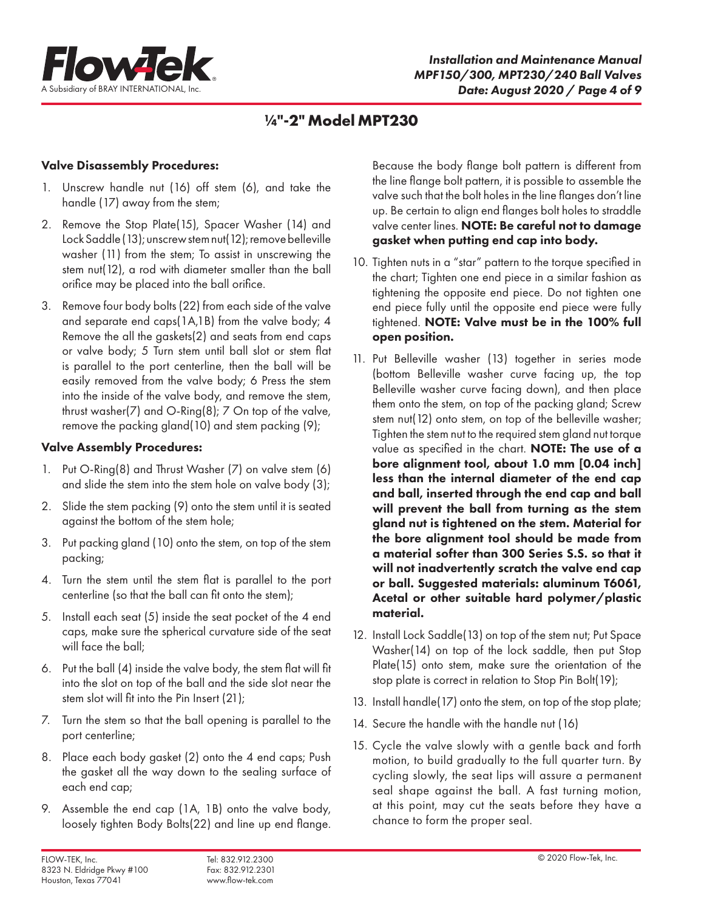

## **¼"-2" Model MPT230**

## Valve Disassembly Procedures:

- 1. Unscrew handle nut (16) off stem (6), and take the handle (17) away from the stem;
- 2. Remove the Stop Plate(15), Spacer Washer (14) and Lock Saddle (13); unscrew stem nut(12); remove belleville washer (11) from the stem; To assist in unscrewing the stem nut(12), a rod with diameter smaller than the ball orifice may be placed into the ball orifice.
- 3. Remove four body bolts (22) from each side of the valve and separate end caps(1A,1B) from the valve body; 4 Remove the all the gaskets(2) and seats from end caps or valve body; 5 Turn stem until ball slot or stem flat is parallel to the port centerline, then the ball will be easily removed from the valve body; 6 Press the stem into the inside of the valve body, and remove the stem, thrust washer(7) and O-Ring(8); 7 On top of the valve, remove the packing gland(10) and stem packing (9);

## Valve Assembly Procedures:

- 1. Put O-Ring(8) and Thrust Washer (7) on valve stem (6) and slide the stem into the stem hole on valve body (3);
- 2. Slide the stem packing (9) onto the stem until it is seated against the bottom of the stem hole;
- 3. Put packing gland (10) onto the stem, on top of the stem packing;
- 4. Turn the stem until the stem flat is parallel to the port centerline (so that the ball can fit onto the stem);
- 5. Install each seat (5) inside the seat pocket of the 4 end caps, make sure the spherical curvature side of the seat will face the ball;
- 6. Put the ball (4) inside the valve body, the stem flat will fit into the slot on top of the ball and the side slot near the stem slot will fit into the Pin Insert (21);
- 7. Turn the stem so that the ball opening is parallel to the port centerline;
- 8. Place each body gasket (2) onto the 4 end caps; Push the gasket all the way down to the sealing surface of each end cap;
- 9. Assemble the end cap (1A, 1B) onto the valve body, loosely tighten Body Bolts(22) and line up end flange.

Because the body flange bolt pattern is different from the line flange bolt pattern, it is possible to assemble the valve such that the bolt holes in the line flanges don't line up. Be certain to align end flanges bolt holes to straddle valve center lines. NOTE: Be careful not to damage gasket when putting end cap into body.

- 10. Tighten nuts in a "star" pattern to the torque specified in the chart; Tighten one end piece in a similar fashion as tightening the opposite end piece. Do not tighten one end piece fully until the opposite end piece were fully tightened. NOTE: Valve must be in the 100% full open position.
- 11. Put Belleville washer (13) together in series mode (bottom Belleville washer curve facing up, the top Belleville washer curve facing down), and then place them onto the stem, on top of the packing gland; Screw stem nut(12) onto stem, on top of the belleville washer; Tighten the stem nut to the required stem gland nut torque value as specified in the chart. NOTE: The use of a bore alignment tool, about 1.0 mm [0.04 inch] less than the internal diameter of the end cap and ball, inserted through the end cap and ball will prevent the ball from turning as the stem gland nut is tightened on the stem. Material for the bore alignment tool should be made from a material softer than 300 Series S.S. so that it will not inadvertently scratch the valve end cap or ball. Suggested materials: aluminum T6061, Acetal or other suitable hard polymer/plastic material.
- 12. Install Lock Saddle(13) on top of the stem nut; Put Space Washer(14) on top of the lock saddle, then put Stop Plate(15) onto stem, make sure the orientation of the stop plate is correct in relation to Stop Pin Bolt(19);
- 13. Install handle(17) onto the stem, on top of the stop plate;
- 14. Secure the handle with the handle nut (16)
- 15. Cycle the valve slowly with a gentle back and forth motion, to build gradually to the full quarter turn. By cycling slowly, the seat lips will assure a permanent seal shape against the ball. A fast turning motion, at this point, may cut the seats before they have a chance to form the proper seal.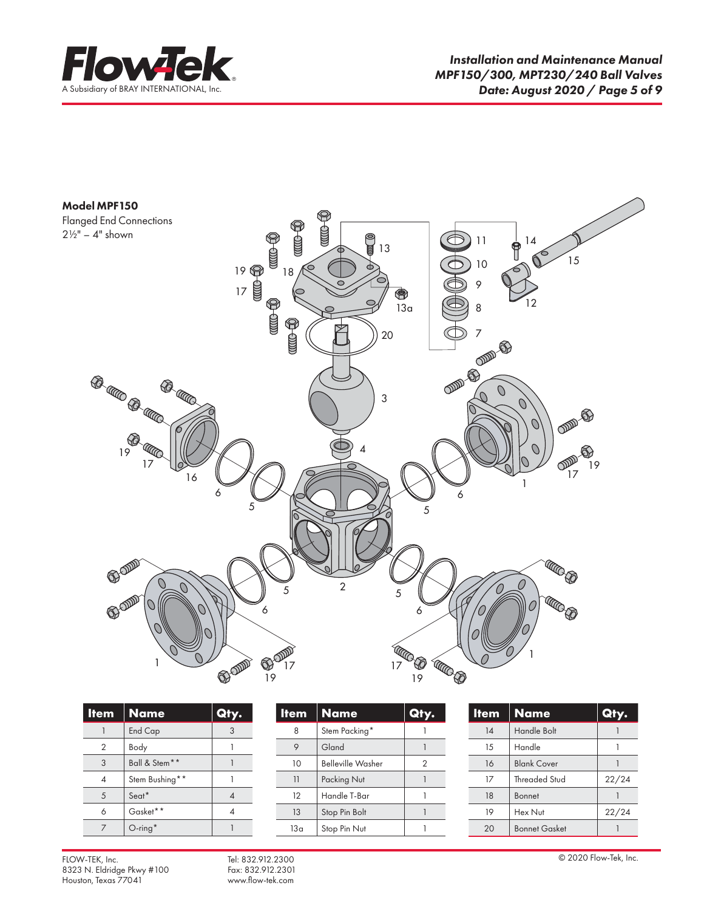



| <b>Item</b>   | <b>Name</b>    | <u>CIT</u><br>y. |
|---------------|----------------|------------------|
|               | <b>End Cap</b> |                  |
| $\mathcal{P}$ | Body           |                  |
| 3             | Ball & Stem**  |                  |
|               | Stem Bushing** |                  |
| 5             | Seat*          |                  |
| 6             | Gasket**       |                  |
|               | $O$ -ring*     |                  |

| <b>Item</b> | <b>Name</b>              | (e) |
|-------------|--------------------------|-----|
| 8           | Stem Packing*            |     |
|             | Gland                    |     |
| 10          | <b>Belleville Washer</b> | 2   |
| 11          | Packing Nut              |     |
| 12          | Handle T-Bar             |     |
| 13          | Stop Pin Bolt            |     |
| 13a         | Stop Pin Nut             |     |

| <b>Item</b> | <b>Name</b>          | Qty.  |
|-------------|----------------------|-------|
| 14          | <b>Handle Bolt</b>   |       |
| 15          | Handle               |       |
| 16          | <b>Blank Cover</b>   |       |
| $17^{1}$    | <b>Threaded Stud</b> | 22/24 |
| 18          | <b>Bonnet</b>        |       |
| 19          | Hex Nut              | 22/24 |
| 20          | <b>Bonnet Gasket</b> |       |

FLOW-TEK, Inc. © 2020 Flow-Tek, Inc. Tel: 832.912.2300 © 2020 Flow-Tek, Inc. © 2020 Flow-Tek, Inc. © 2020 Flow-Tek, Inc. © 2020 Flow-Tek, Inc. 8323 N. Eldridge Pkwy #100 Fax: 832.912.2301<br>Houston, Texas 77041 www.flow-tek.com Houston, Texas 77041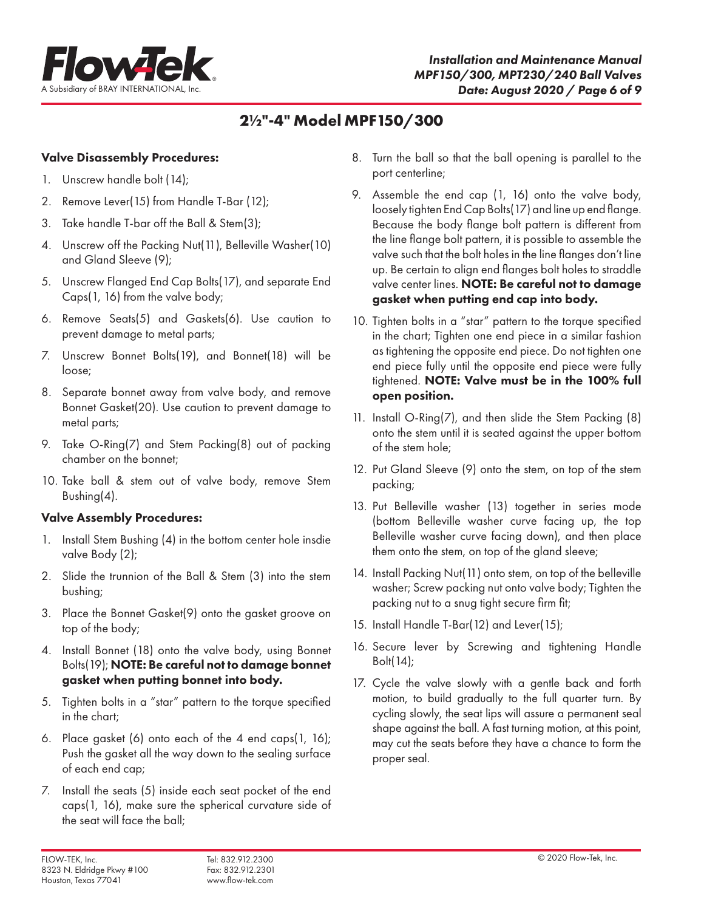

## **2½"-4" Model MPF150/300**

## Valve Disassembly Procedures:

- 1. Unscrew handle bolt (14);
- 2. Remove Lever(15) from Handle T-Bar (12);
- 3. Take handle T-bar off the Ball & Stem(3);
- 4. Unscrew off the Packing Nut(11), Belleville Washer(10) and Gland Sleeve (9);
- 5. Unscrew Flanged End Cap Bolts(17), and separate End Caps(1, 16) from the valve body;
- 6. Remove Seats(5) and Gaskets(6). Use caution to prevent damage to metal parts;
- 7. Unscrew Bonnet Bolts(19), and Bonnet(18) will be loose;
- 8. Separate bonnet away from valve body, and remove Bonnet Gasket(20). Use caution to prevent damage to metal parts;
- 9. Take O-Ring(7) and Stem Packing(8) out of packing chamber on the bonnet;
- 10. Take ball & stem out of valve body, remove Stem Bushing(4).

## Valve Assembly Procedures:

- 1. Install Stem Bushing (4) in the bottom center hole insdie valve Body (2);
- 2. Slide the trunnion of the Ball & Stem (3) into the stem bushing;
- 3. Place the Bonnet Gasket(9) onto the gasket groove on top of the body;
- 4. Install Bonnet (18) onto the valve body, using Bonnet Bolts(19); NOTE: Be careful not to damage bonnet gasket when putting bonnet into body.
- 5. Tighten bolts in a "star" pattern to the torque specified in the chart;
- 6. Place gasket (6) onto each of the 4 end caps(1, 16); Push the gasket all the way down to the sealing surface of each end cap;
- 7. Install the seats (5) inside each seat pocket of the end caps(1, 16), make sure the spherical curvature side of the seat will face the ball;
- 8. Turn the ball so that the ball opening is parallel to the port centerline;
- 9. Assemble the end cap (1, 16) onto the valve body, loosely tighten End Cap Bolts(17) and line up end flange. Because the body flange bolt pattern is different from the line flange bolt pattern, it is possible to assemble the valve such that the bolt holes in the line flanges don't line up. Be certain to align end flanges bolt holes to straddle valve center lines. NOTE: Be careful not to damage gasket when putting end cap into body.
- 10. Tighten bolts in a "star" pattern to the torque specified in the chart; Tighten one end piece in a similar fashion as tightening the opposite end piece. Do not tighten one end piece fully until the opposite end piece were fully tightened. NOTE: Valve must be in the 100% full open position.
- 11. Install O-Ring(7), and then slide the Stem Packing (8) onto the stem until it is seated against the upper bottom of the stem hole;
- 12. Put Gland Sleeve (9) onto the stem, on top of the stem packing;
- 13. Put Belleville washer (13) together in series mode (bottom Belleville washer curve facing up, the top Belleville washer curve facing down), and then place them onto the stem, on top of the gland sleeve;
- 14. Install Packing Nut(11) onto stem, on top of the belleville washer; Screw packing nut onto valve body; Tighten the packing nut to a snug tight secure firm fit;
- 15. Install Handle T-Bar(12) and Lever(15);
- 16. Secure lever by Screwing and tightening Handle Bolt(14);
- 17. Cycle the valve slowly with a gentle back and forth motion, to build gradually to the full quarter turn. By cycling slowly, the seat lips will assure a permanent seal shape against the ball. A fast turning motion, at this point, may cut the seats before they have a chance to form the proper seal.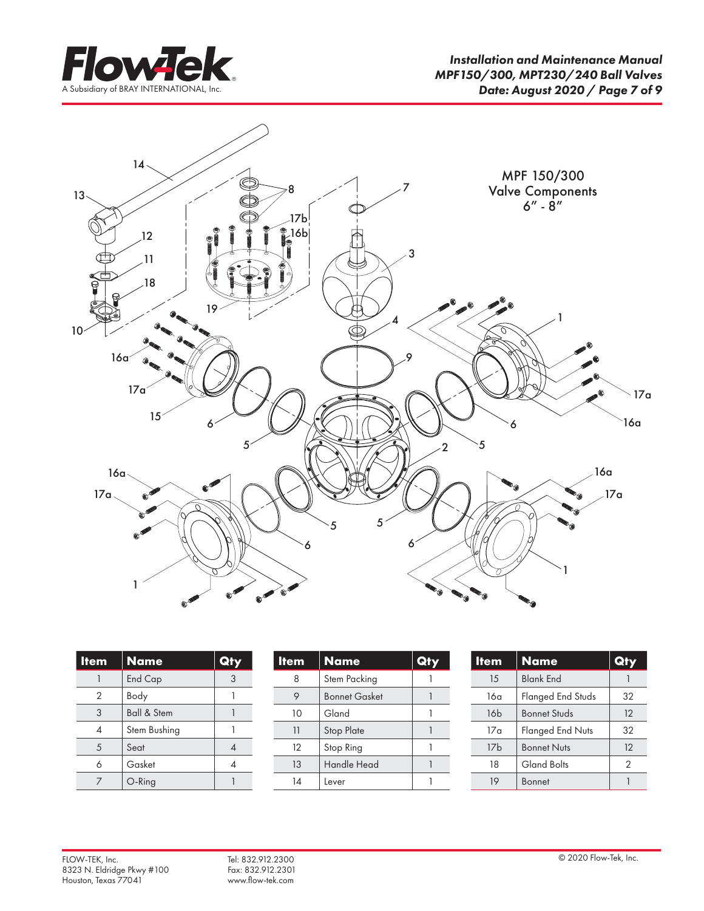



| <b>Item</b> | <b>Name</b>            | Qty |
|-------------|------------------------|-----|
|             | End Cap                | 3   |
| 2           | Body                   |     |
| 3           | <b>Ball &amp; Stem</b> |     |
|             | Stem Bushing           |     |
| 5           | Seat                   |     |
| 6           | Gasket                 |     |
|             | O-Ring                 |     |

| <b>Item</b> | <b>Name</b>          | Qi |
|-------------|----------------------|----|
| 8           | Stem Packing         |    |
| 9           | <b>Bonnet Gasket</b> |    |
| 10          | Gland                |    |
| 11          | <b>Stop Plate</b>    |    |
| 12          | Stop Ring            |    |
| 13          | <b>Handle Head</b>   |    |
| 14          | Lever                |    |

| <b>Item</b>     | <b>Name</b>              | Qty           |
|-----------------|--------------------------|---------------|
| 15              | <b>Blank End</b>         |               |
| 16a             | <b>Flanged End Studs</b> | 32            |
| 16 <sub>b</sub> | <b>Bonnet Studs</b>      | 12            |
| 17a             | <b>Flanged End Nuts</b>  | 32            |
| 17 <sub>b</sub> | <b>Bonnet Nuts</b>       | 12            |
| 18              | <b>Gland Bolts</b>       | $\mathcal{P}$ |
| 19              | Bonnet                   |               |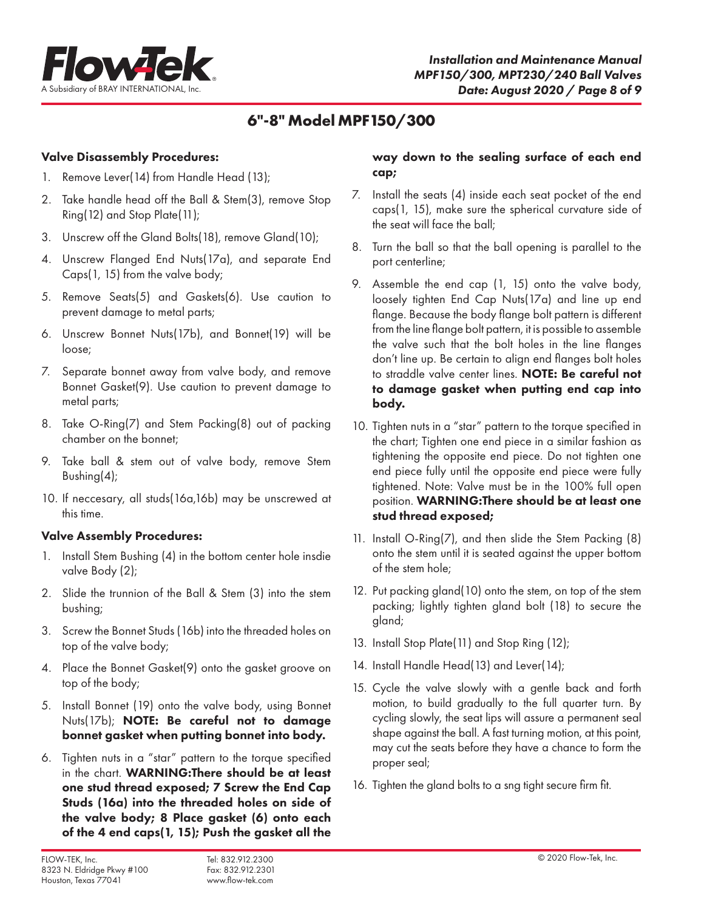

## **6"-8" Model MPF150/300**

## Valve Disassembly Procedures:

- 1. Remove Lever(14) from Handle Head (13);
- 2. Take handle head off the Ball & Stem(3), remove Stop Ring(12) and Stop Plate(11);
- 3. Unscrew off the Gland Bolts(18), remove Gland(10);
- 4. Unscrew Flanged End Nuts(17a), and separate End Caps(1, 15) from the valve body;
- 5. Remove Seats(5) and Gaskets(6). Use caution to prevent damage to metal parts;
- 6. Unscrew Bonnet Nuts(17b), and Bonnet(19) will be loose;
- 7. Separate bonnet away from valve body, and remove Bonnet Gasket(9). Use caution to prevent damage to metal parts;
- 8. Take O-Ring(7) and Stem Packing(8) out of packing chamber on the bonnet;
- 9. Take ball & stem out of valve body, remove Stem Bushing(4);
- 10. If neccesary, all studs(16a,16b) may be unscrewed at this time.

## Valve Assembly Procedures:

- 1. Install Stem Bushing (4) in the bottom center hole insdie valve Body (2);
- 2. Slide the trunnion of the Ball & Stem (3) into the stem bushing;
- 3. Screw the Bonnet Studs (16b) into the threaded holes on top of the valve body;
- 4. Place the Bonnet Gasket(9) onto the gasket groove on top of the body;
- 5. Install Bonnet (19) onto the valve body, using Bonnet Nuts(17b); NOTE: Be careful not to damage bonnet gasket when putting bonnet into body.
- 6. Tighten nuts in a "star" pattern to the torque specified in the chart. WARNING:There should be at least one stud thread exposed; 7 Screw the End Cap Studs (16a) into the threaded holes on side of the valve body; 8 Place gasket (6) onto each of the 4 end caps(1, 15); Push the gasket all the

## way down to the sealing surface of each end cap;

- 7. Install the seats (4) inside each seat pocket of the end caps(1, 15), make sure the spherical curvature side of the seat will face the ball;
- 8. Turn the ball so that the ball opening is parallel to the port centerline;
- 9. Assemble the end cap (1, 15) onto the valve body, loosely tighten End Cap Nuts(17a) and line up end flange. Because the body flange bolt pattern is different from the line flange bolt pattern, it is possible to assemble the valve such that the bolt holes in the line flanges don't line up. Be certain to align end flanges bolt holes to straddle valve center lines. NOTE: Be careful not to damage gasket when putting end cap into body.
- 10. Tighten nuts in a "star" pattern to the torque specified in the chart; Tighten one end piece in a similar fashion as tightening the opposite end piece. Do not tighten one end piece fully until the opposite end piece were fully tightened. Note: Valve must be in the 100% full open position. WARNING:There should be at least one stud thread exposed;
- 11. Install O-Ring(7), and then slide the Stem Packing (8) onto the stem until it is seated against the upper bottom of the stem hole;
- 12. Put packing gland(10) onto the stem, on top of the stem packing; lightly tighten gland bolt (18) to secure the gland;
- 13. Install Stop Plate(11) and Stop Ring (12);
- 14. Install Handle Head(13) and Lever(14);
- 15. Cycle the valve slowly with a gentle back and forth motion, to build gradually to the full quarter turn. By cycling slowly, the seat lips will assure a permanent seal shape against the ball. A fast turning motion, at this point, may cut the seats before they have a chance to form the proper seal;
- 16. Tighten the gland bolts to a sng tight secure firm fit.